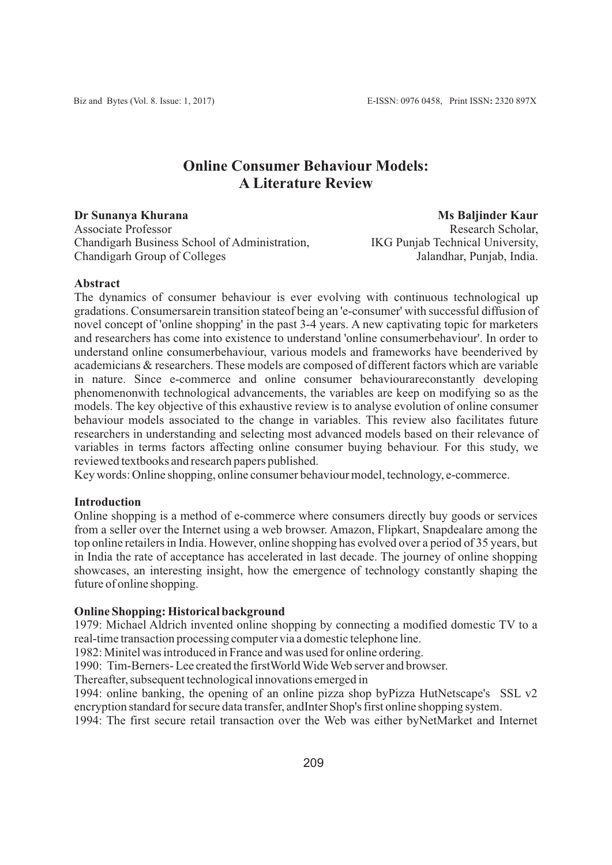# **Online Consumer Behaviour Models: A Literature Review**

**Dr Sunanya Khurana**  Associate Professor Chandigarh Business School of Administration, Chandigarh Group of Colleges

 **Ms Baljinder Kaur** Research Scholar, IKG Punjab Technical University, Jalandhar, Punjab, India.

#### **Abstract**

The dynamics of consumer behaviour is ever evolving with continuous technological up gradations. Consumersarein transition stateof being an 'e-consumer' with successful diffusion of novel concept of 'online shopping' in the past 3-4 years. A new captivating topic for marketers and researchers has come into existence to understand 'online consumerbehaviour'. In order to understand online consumerbehaviour, various models and frameworks have beenderived by academicians & researchers. These models are composed of different factors which are variable in nature. Since e-commerce and online consumer behaviourareconstantly developing phenomenonwith technological advancements, the variables are keep on modifying so as the models. The key objective of this exhaustive review is to analyse evolution of online consumer behaviour models associated to the change in variables. This review also facilitates future researchers in understanding and selecting most advanced models based on their relevance of variables in terms factors affecting online consumer buying behaviour. For this study, we reviewed textbooks and research papers published.

Key words: Online shopping, online consumer behaviour model, technology, e-commerce.

# **Introduction**

Online shopping is a method of e-commerce where consumers directly buy goods or services from a seller over the Internet using a web browser. Amazon, Flipkart, Snapdealare among the top online retailers in India. However, online shopping has evolved over a period of 35 years, but in India the rate of acceptance has accelerated in last decade. The journey of online shopping showcases, an interesting insight, how the emergence of technology constantly shaping the future of online shopping.

# **Online Shopping: Historical background**

1979: Michael Aldrich invented online shopping by connecting a modified domestic TV to a real-time transaction processing computer via a domestic telephone line.

1982: Minitel was introduced in France and was used for online ordering.

1990: Tim-Berners- Lee created the firstWorld Wide Web server and browser.

Thereafter, subsequent technological innovations emerged in

1994: online banking, the opening of an online pizza shop byPizza HutNetscape's SSL v2 encryption standard for secure data transfer, andInter Shop's first online shopping system.

1994: The first secure retail transaction over the Web was either byNetMarket and Internet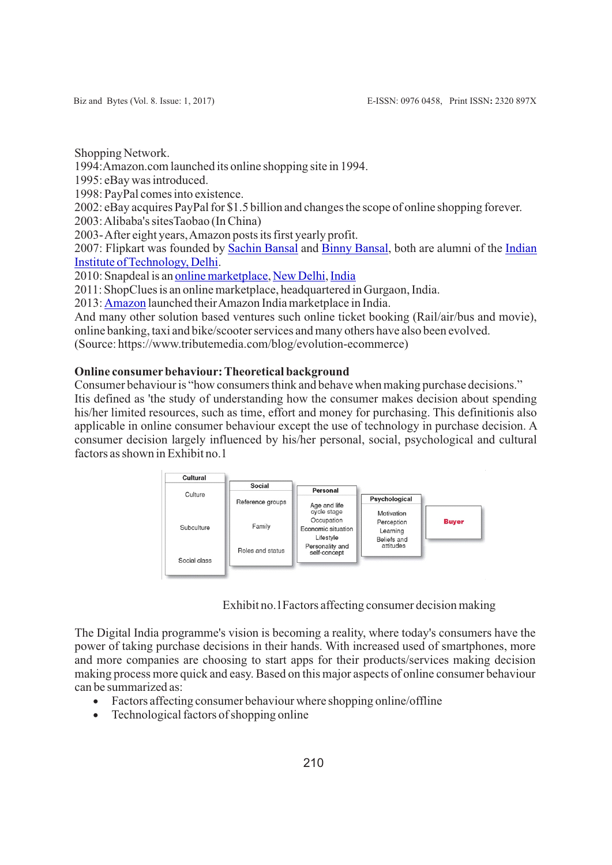Shopping Network.

1994:Amazon.com launched its online shopping site in 1994.

1995: eBay was introduced.

1998: PayPal comes into existence.

2002: eBay acquires PayPal for \$1.5 billion and changes the scope of online shopping forever.

2003: Alibaba's sitesTaobao (In China)

2003- After eight years, Amazon posts its first yearly profit.

2007: Flipkart was founded by [Sachin Bansal](https://en.wikipedia.org/wiki/Sachin_Bansal) and [Binny Bansal](https://en.wikipedia.org/wiki/Binny_Bansal), both are alumni of the [Indian](https://en.wikipedia.org/wiki/Indian_Institute_of_Technology_Delhi)  [Institute of Technology, Delhi](https://en.wikipedia.org/wiki/Indian_Institute_of_Technology_Delhi).

2010: Snapdeal is an [online marketplace](https://en.wikipedia.org/wiki/Online_marketplace), [New Delhi](https://en.wikipedia.org/wiki/New_Delhi), [India](https://en.wikipedia.org/wiki/India)

2011: ShopClues is an online marketplace, headquartered in Gurgaon, India.

2013: [Amazon](https://en.wikipedia.org/wiki/Amazon.com) launched their Amazon India marketplace in India.

And many other solution based ventures such online ticket booking (Rail/air/bus and movie), online banking, taxi and bike/scooter services and many others have also been evolved.

(Source: https://www.tributemedia.com/blog/evolution-ecommerce)

# **Online consumer behaviour: Theoretical background**

Consumer behaviour is "how consumers think and behave when making purchase decisions." Itis defined as 'the study of understanding how the consumer makes decision about spending his/her limited resources, such as time, effort and money for purchasing. This definitionis also applicable in online consumer behaviour except the use of technology in purchase decision. A consumer decision largely influenced by his/her personal, social, psychological and cultural factors as shown in Exhibit no.1



Exhibit no.1Factors affecting consumer decision making

The Digital India programme's vision is becoming a reality, where today's consumers have the power of taking purchase decisions in their hands. With increased used of smartphones, more and more companies are choosing to start apps for their products/services making decision making process more quick and easy. Based on this major aspects of online consumer behaviour can be summarized as:

- Factors affecting consumer behaviour where shopping online/offline
- · Technological factors of shopping online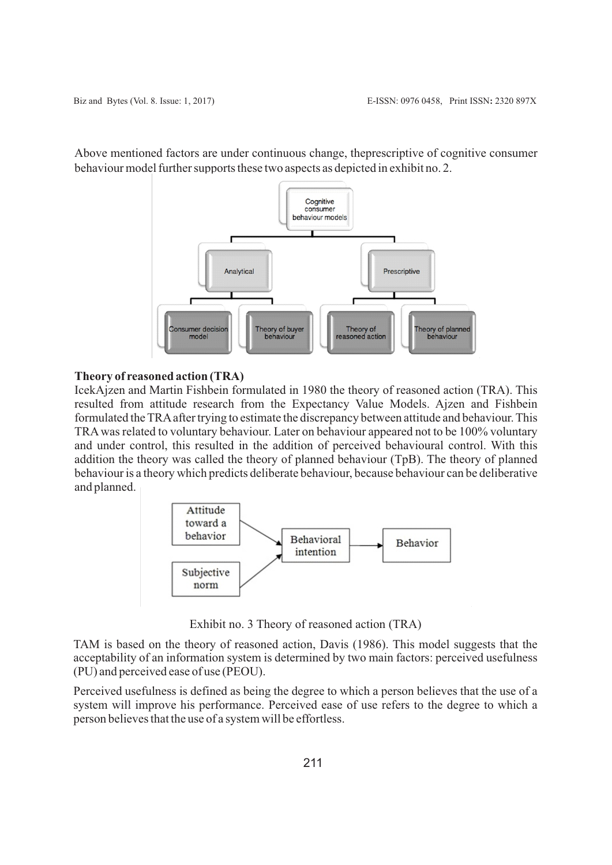Cognitive consumer behaviour models Analytical Prescriptive Theory of buyer<br>behaviour Theory of planned<br>behaviour **Consumer decisio** Theory of<br>reasoned action model

Above mentioned factors are under continuous change, theprescriptive of cognitive consumer behaviour model further supports these two aspects as depicted in exhibit no. 2.

#### **Theory of reasoned action (TRA)**

IcekAjzen and Martin Fishbein formulated in 1980 the theory of reasoned action (TRA). This resulted from attitude research from the Expectancy Value Models. Ajzen and Fishbein formulated the TRAafter trying to estimate the discrepancy between attitude and behaviour. This TRAwas related to voluntary behaviour. Later on behaviour appeared not to be 100% voluntary and under control, this resulted in the addition of perceived behavioural control. With this addition the theory was called the theory of planned behaviour (TpB). The theory of planned behaviour is a theory which predicts deliberate behaviour, because behaviour can be deliberative and planned.



Exhibit no. 3 Theory of reasoned action (TRA)

TAM is based on the theory of reasoned action, Davis (1986). This model suggests that the acceptability of an information system is determined by two main factors: perceived usefulness (PU) and perceived ease of use (PEOU).

Perceived usefulness is defined as being the degree to which a person believes that the use of a system will improve his performance. Perceived ease of use refers to the degree to which a person believes that the use of a system will be effortless.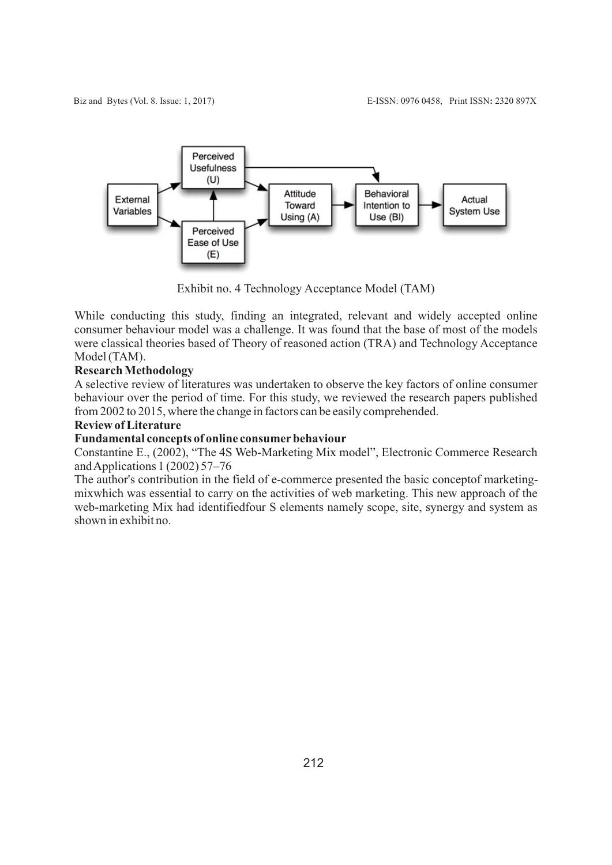

Exhibit no. 4 Technology Acceptance Model (TAM)

While conducting this study, finding an integrated, relevant and widely accepted online consumer behaviour model was a challenge. It was found that the base of most of the models were classical theories based of Theory of reasoned action (TRA) and Technology Acceptance Model (TAM).

# **Research Methodology**

A selective review of literatures was undertaken to observe the key factors of online consumer behaviour over the period of time. For this study, we reviewed the research papers published from 2002 to 2015, where the change in factors can be easily comprehended.

# **Review of Literature**

#### **Fundamental concepts of online consumerbehaviour**

Constantine E., (2002), "The 4S Web-Marketing Mix model", Electronic Commerce Research and Applications 1 (2002) 57–76

The author's contribution in the field of e-commerce presented the basic conceptof marketingmixwhich was essential to carry on the activities of web marketing. This new approach of the web-marketing Mix had identifiedfour S elements namely scope, site, synergy and system as shown in exhibit no.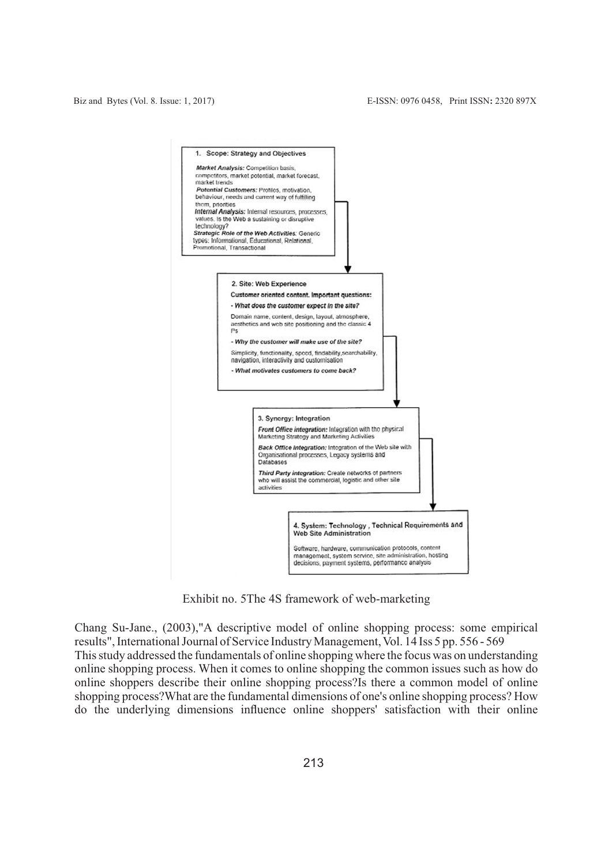

Exhibit no. 5The 4S framework of web-marketing

Chang Su-Jane., (2003),"A descriptive model of online shopping process: some empirical results", International Journal of Service Industry Management, Vol. 14 Iss 5 pp. 556 - 569 This study addressed the fundamentals of online shopping where the focus was on understanding online shopping process. When it comes to online shopping the common issues such as how do online shoppers describe their online shopping process?Is there a common model of online shopping process?What are the fundamental dimensions of one's online shopping process? How do the underlying dimensions influence online shoppers' satisfaction with their online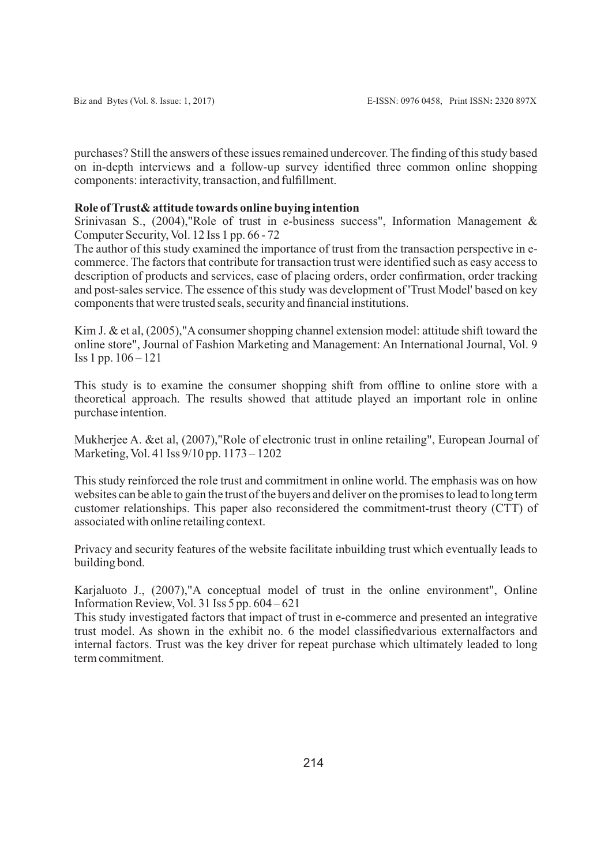purchases? Still the answers of these issues remained undercover. The finding of this study based on in-depth interviews and a follow-up survey identified three common online shopping components: interactivity, transaction, and fulfillment.

# **Role of Trust& attitude towards online buying intention**

Srinivasan S., (2004),"Role of trust in e-business success", Information Management & Computer Security, Vol. 12 Iss 1 pp. 66 - 72

The author of this study examined the importance of trust from the transaction perspective in ecommerce. The factors that contribute for transaction trust were identified such as easy access to description of products and services, ease of placing orders, order confirmation, order tracking and post-sales service. The essence of this study was development of 'Trust Model' based on key components that were trusted seals, security and financial institutions.

Kim J. & et al, (2005),"A consumer shopping channel extension model: attitude shift toward the online store", Journal of Fashion Marketing and Management: An International Journal, Vol. 9 Iss 1 pp. 106 – 121

This study is to examine the consumer shopping shift from offline to online store with a theoretical approach. The results showed that attitude played an important role in online purchase intention.

Mukherjee A. &et al, (2007),"Role of electronic trust in online retailing", European Journal of Marketing, Vol. 41 Iss 9/10 pp. 1173 – 1202

This study reinforced the role trust and commitment in online world. The emphasis was on how websites can be able to gain the trust of the buyers and deliver on the promises to lead to long term customer relationships. This paper also reconsidered the commitment-trust theory (CTT) of associated with online retailing context.

Privacy and security features of the website facilitate inbuilding trust which eventually leads to building bond.

Karjaluoto J., (2007),"A conceptual model of trust in the online environment", Online Information Review, Vol. 31 Iss  $5$  pp.  $604 - 621$ 

This study investigated factors that impact of trust in e-commerce and presented an integrative trust model. As shown in the exhibit no. 6 the model classifiedvarious externalfactors and internal factors. Trust was the key driver for repeat purchase which ultimately leaded to long term commitment.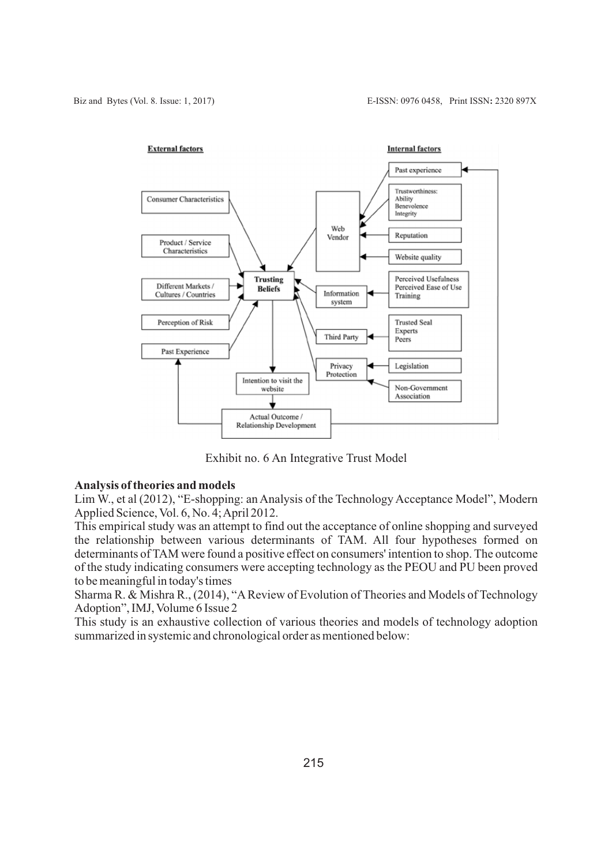

Exhibit no. 6 An Integrative Trust Model

# **Analysis of theories and models**

Lim W., et al (2012), "E-shopping: an Analysis of the Technology Acceptance Model", Modern Applied Science, Vol. 6, No. 4; April 2012.

This empirical study was an attempt to find out the acceptance of online shopping and surveyed the relationship between various determinants of TAM. All four hypotheses formed on determinants of TAM were found a positive effect on consumers' intention to shop. The outcome of the study indicating consumers were accepting technology as the PEOU and PU been proved to be meaningful in today's times

Sharma R. & Mishra R., (2014), "AReview of Evolution of Theories and Models of Technology Adoption", IMJ, Volume 6 Issue 2

This study is an exhaustive collection of various theories and models of technology adoption summarized in systemic and chronological order as mentioned below: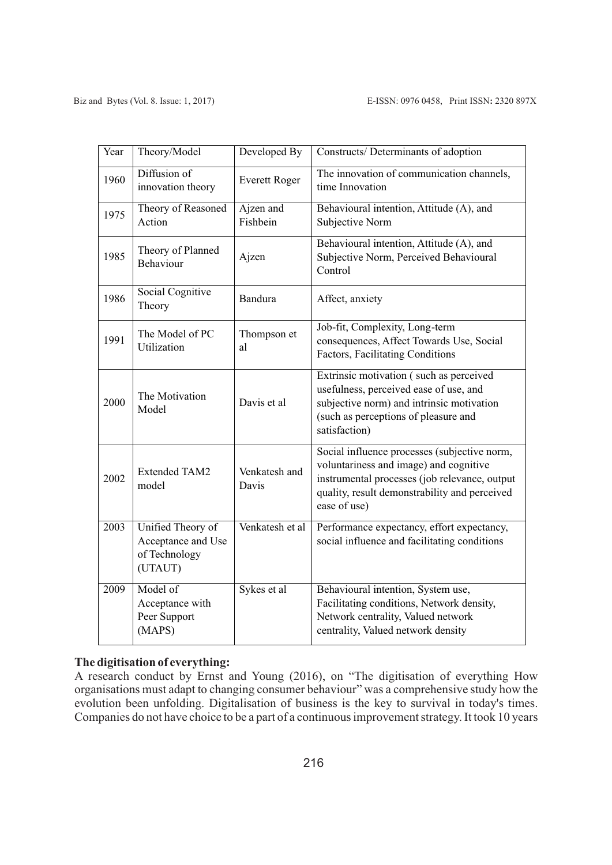| Year | Theory/Model                                                        | Developed By           | Constructs/ Determinants of adoption                                                                                                                                                                     |
|------|---------------------------------------------------------------------|------------------------|----------------------------------------------------------------------------------------------------------------------------------------------------------------------------------------------------------|
| 1960 | Diffusion of<br>innovation theory                                   | <b>Everett Roger</b>   | The innovation of communication channels,<br>time Innovation                                                                                                                                             |
| 1975 | Theory of Reasoned<br>Action                                        | Ajzen and<br>Fishbein  | Behavioural intention, Attitude (A), and<br>Subjective Norm                                                                                                                                              |
| 1985 | Theory of Planned<br>Behaviour                                      | Ajzen                  | Behavioural intention, Attitude (A), and<br>Subjective Norm, Perceived Behavioural<br>Control                                                                                                            |
| 1986 | Social Cognitive<br>Theory                                          | <b>Bandura</b>         | Affect, anxiety                                                                                                                                                                                          |
| 1991 | The Model of PC<br>Utilization                                      | Thompson et<br>al      | Job-fit, Complexity, Long-term<br>consequences, Affect Towards Use, Social<br>Factors, Facilitating Conditions                                                                                           |
| 2000 | The Motivation<br>Model                                             | Davis et al            | Extrinsic motivation (such as perceived<br>usefulness, perceived ease of use, and<br>subjective norm) and intrinsic motivation<br>(such as perceptions of pleasure and<br>satisfaction)                  |
| 2002 | <b>Extended TAM2</b><br>model                                       | Venkatesh and<br>Davis | Social influence processes (subjective norm,<br>voluntariness and image) and cognitive<br>instrumental processes (job relevance, output<br>quality, result demonstrability and perceived<br>ease of use) |
| 2003 | Unified Theory of<br>Acceptance and Use<br>of Technology<br>(UTAUT) | Venkatesh et al        | Performance expectancy, effort expectancy,<br>social influence and facilitating conditions                                                                                                               |
| 2009 | Model of<br>Acceptance with<br>Peer Support<br>(MAPS)               | Sykes et al            | Behavioural intention, System use,<br>Facilitating conditions, Network density,<br>Network centrality, Valued network<br>centrality, Valued network density                                              |

# **The digitisation of everything:**

A research conduct by Ernst and Young (2016), on "The digitisation of everything How organisations must adapt to changing consumer behaviour" was a comprehensive study how the evolution been unfolding. Digitalisation of business is the key to survival in today's times. Companies do not have choice to be a part of a continuous improvement strategy. It took 10 years